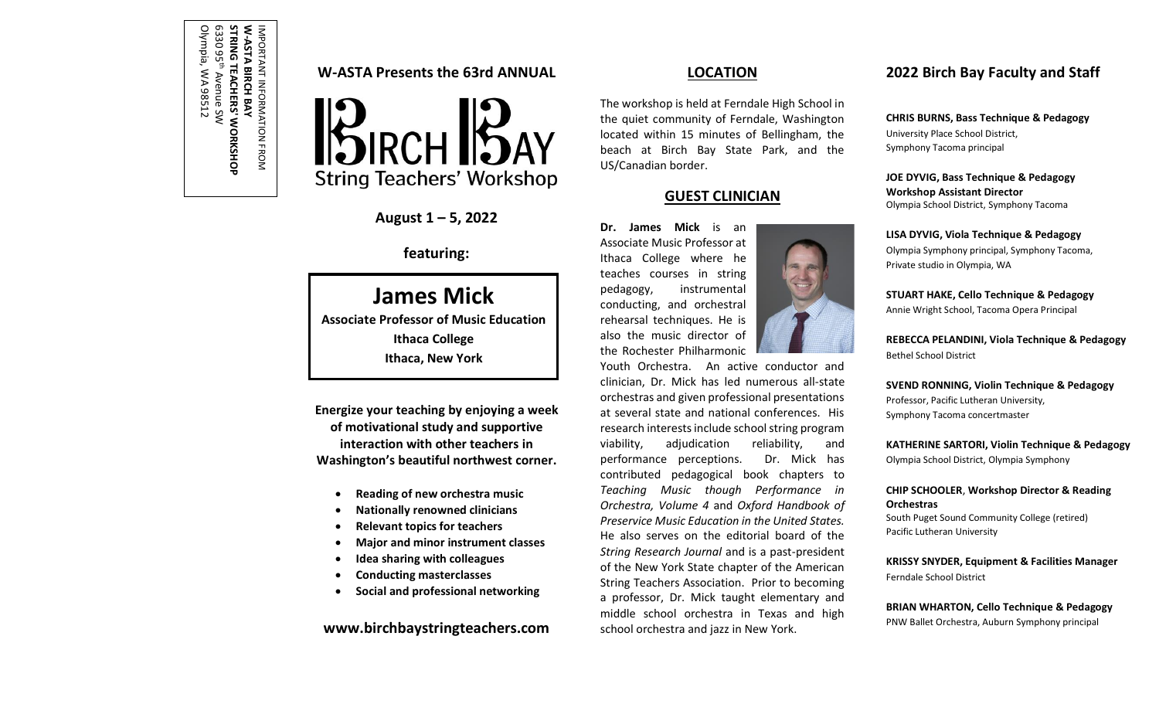# **W-ASTA Presents the 63rd ANNUAL**

W-ASTA I<br>STRING T<br>6330 95<sup>th</sup>

Olympia, WA 98512

Olympia, WA 98512

**STRING TEACHERS' WORKSHOP** Avenue SW

IMPORTANT INFORMATION FROM

**-ASTA BIRCH BAY** 



**August 1 ʹ 5, 2022**

### **featuring:**

# **James Mick**

**Associate Professor of Music Education Ithaca College Ithaca, New York**

**Energize your teaching by enjoying a week of motivational study and supportive interaction with other teachers in Washington's beautiful northwest corner.** 

- x **Reading of new orchestra music**
- x **Nationally renowned clinicians**
- x **Relevant topics for teachers**
- x **Major and minor instrument classes**
- x **Idea sharing with colleagues**
- x **Conducting masterclasses**
- x **Social and professional networking**

**www.birchbaystringteachers.com**

### **LOCATION**

The workshop is held at Ferndale High School in the quiet community of Ferndale, Washington located within 15 minutes of Bellingham, the beach at Birch Bay State Park, and the US/Canadian border.

### **GUEST CLINICIAN**

**Dr. James Mick** is an Associate Music Professor at Ithaca College where he teaches courses in string pedagogy, instrumental conducting, and orchestral rehearsal techniques. He is also the music director of the Rochester Philharmonic



# **2022 Birch Bay Faculty and Staff**

**CHRIS BURNS, Bass Technique & Pedagogy**  University Place School District, Symphony Tacoma principal

**JOE DYVIG, Bass Technique & Pedagogy Workshop Assistant Director** Olympia School District, Symphony Tacoma

**LISA DYVIG, Viola Technique & Pedagogy** Olympia Symphony principal, Symphony Tacoma, Private studio in Olympia, WA

**STUART HAKE, Cello Technique & Pedagogy** Annie Wright School, Tacoma Opera Principal

**REBECCA PELANDINI, Viola Technique & Pedagogy** Bethel School District

**SVEND RONNING, Violin Technique & Pedagogy** Professor, Pacific Lutheran University, Symphony Tacoma concertmaster

**KATHERINE SARTORI, Violin Technique & Pedagogy** Olympia School District, Olympia Symphony

### **CHIP SCHOOLER**, **Workshop Director & Reading Orchestras**

South Puget Sound Community College (retired) Pacific Lutheran University

**KRISSY SNYDER, Equipment & Facilities Manager** Ferndale School District

**BRIAN WHARTON, Cello Technique & Pedagogy** PNW Ballet Orchestra, Auburn Symphony principal